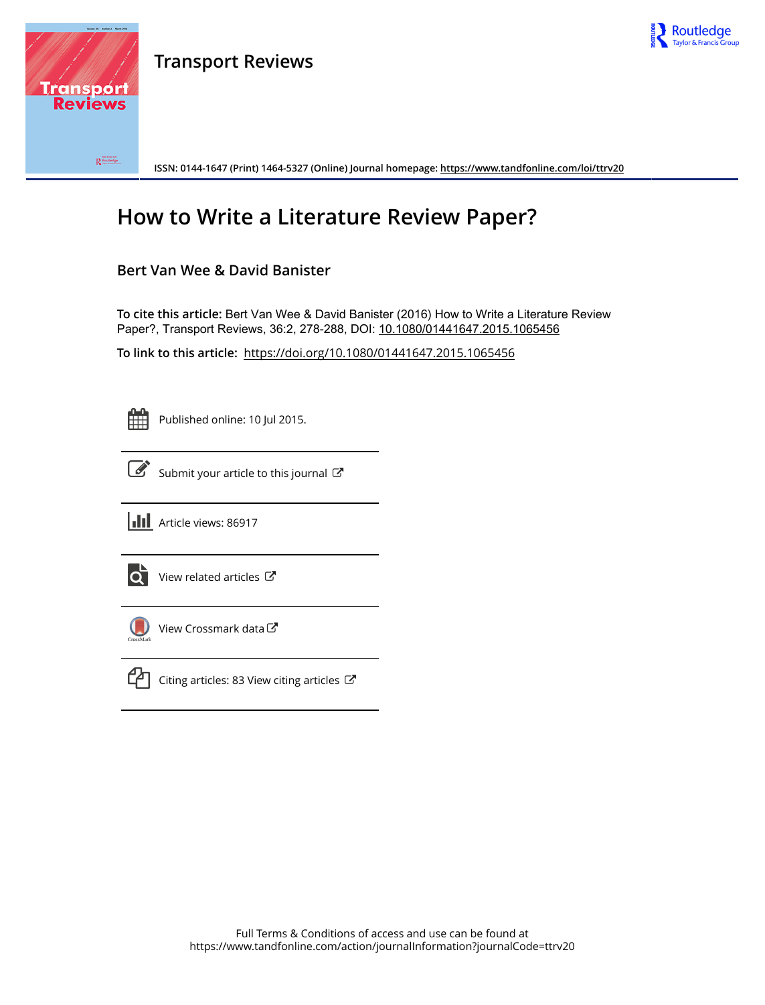

# **Transport Reviews**



**ISSN: 0144-1647 (Print) 1464-5327 (Online) Journal homepage:<https://www.tandfonline.com/loi/ttrv20>**

# **How to Write a Literature Review Paper?**

# **Bert Van Wee & David Banister**

**To cite this article:** Bert Van Wee & David Banister (2016) How to Write a Literature Review Paper?, Transport Reviews, 36:2, 278-288, DOI: [10.1080/01441647.2015.1065456](https://www.tandfonline.com/action/showCitFormats?doi=10.1080/01441647.2015.1065456)

**To link to this article:** <https://doi.org/10.1080/01441647.2015.1065456>

Published online: 10 Jul 2015.



[Submit your article to this journal](https://www.tandfonline.com/action/authorSubmission?journalCode=ttrv20&show=instructions)  $\mathbb{Z}$ 



**III** Article views: 86917



 $\overrightarrow{Q}$  [View related articles](https://www.tandfonline.com/doi/mlt/10.1080/01441647.2015.1065456)  $\overrightarrow{C}$ 



 $\bigcirc$  [View Crossmark data](http://crossmark.crossref.org/dialog/?doi=10.1080/01441647.2015.1065456&domain=pdf&date_stamp=2015-07-10) $\mathbb{Z}$ 



 $\mathbb{Z}$  [Citing articles: 83 View citing articles](https://www.tandfonline.com/doi/citedby/10.1080/01441647.2015.1065456#tabModule)  $\mathbb{Z}$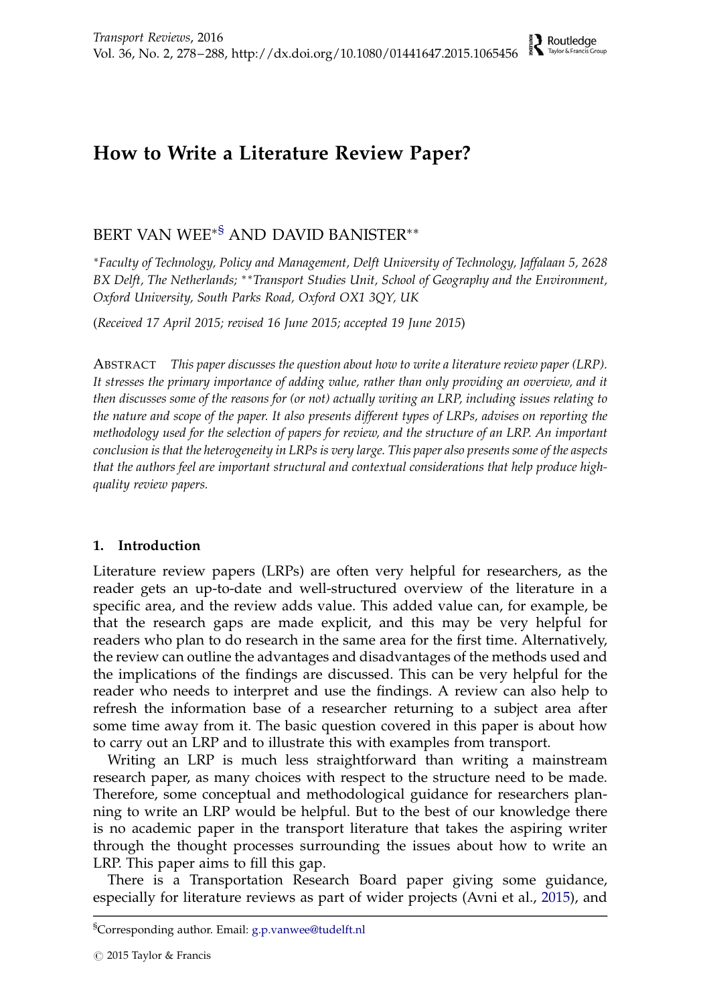# How to Write a Literature Review Paper?

## BERT VAN WEE∗§ AND DAVID BANISTER∗∗

<sup>∗</sup>Faculty of Technology, Policy and Management, Delft University of Technology, Jaffalaan 5, 2628 BX Delft, The Netherlands; \*\*Transport Studies Unit, School of Geography and the Environment, Oxford University, South Parks Road, Oxford OX1 3QY, UK

(Received 17 April 2015; revised 16 June 2015; accepted 19 June 2015)

ABSTRACT This paper discusses the question about how to write a literature review paper (LRP). It stresses the primary importance of adding value, rather than only providing an overview, and it then discusses some of the reasons for (or not) actually writing an LRP, including issues relating to the nature and scope of the paper. It also presents different types of LRPs, advises on reporting the methodology used for the selection of papers for review, and the structure of an LRP. An important conclusion is that the heterogeneity in LRPs is very large. This paper also presents some of the aspects that the authors feel are important structural and contextual considerations that help produce highquality review papers.

## 1. Introduction

Literature review papers (LRPs) are often very helpful for researchers, as the reader gets an up-to-date and well-structured overview of the literature in a specific area, and the review adds value. This added value can, for example, be that the research gaps are made explicit, and this may be very helpful for readers who plan to do research in the same area for the first time. Alternatively, the review can outline the advantages and disadvantages of the methods used and the implications of the findings are discussed. This can be very helpful for the reader who needs to interpret and use the findings. A review can also help to refresh the information base of a researcher returning to a subject area after some time away from it. The basic question covered in this paper is about how to carry out an LRP and to illustrate this with examples from transport.

Writing an LRP is much less straightforward than writing a mainstream research paper, as many choices with respect to the structure need to be made. Therefore, some conceptual and methodological guidance for researchers planning to write an LRP would be helpful. But to the best of our knowledge there is no academic paper in the transport literature that takes the aspiring writer through the thought processes surrounding the issues about how to write an LRP. This paper aims to fill this gap.

There is a Transportation Research Board paper giving some guidance, especially for literature reviews as part of wider projects (Avni et al., [2015](#page-10-0)), and

<sup>§</sup> Corresponding author. Email: [g.p.vanwee@tudelft.nl](mailto:g.p.vanwee@tudelft.nl)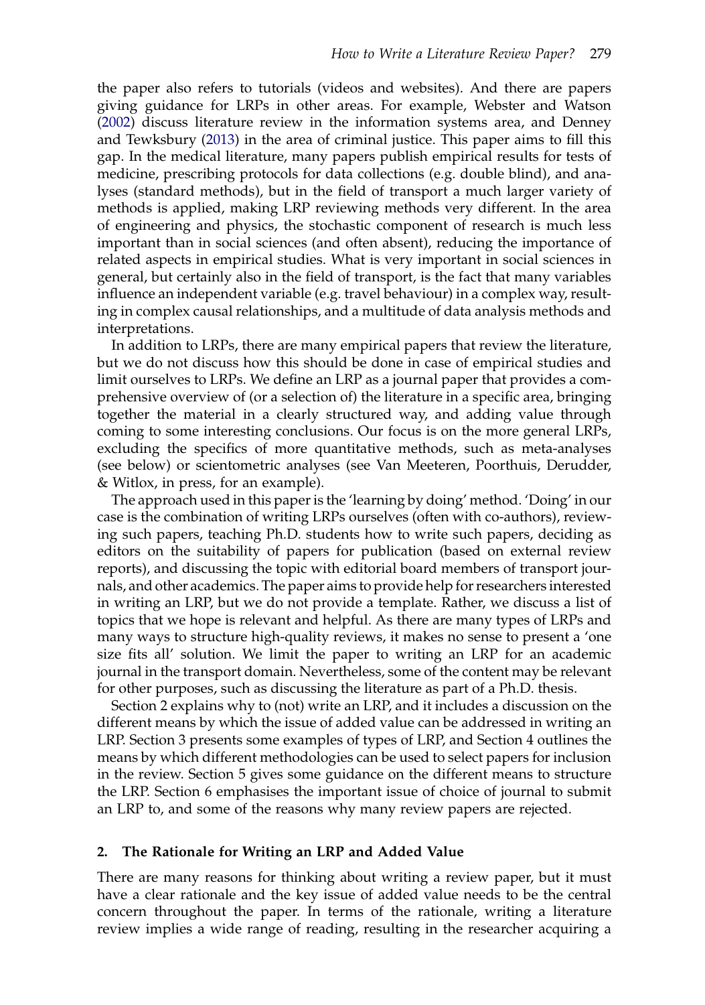the paper also refers to tutorials (videos and websites). And there are papers giving guidance for LRPs in other areas. For example, Webster and Watson [\(2002](#page-11-0)) discuss literature review in the information systems area, and Denney and Tewksbury [\(2013](#page-11-0)) in the area of criminal justice. This paper aims to fill this gap. In the medical literature, many papers publish empirical results for tests of medicine, prescribing protocols for data collections (e.g. double blind), and analyses (standard methods), but in the field of transport a much larger variety of methods is applied, making LRP reviewing methods very different. In the area of engineering and physics, the stochastic component of research is much less important than in social sciences (and often absent), reducing the importance of related aspects in empirical studies. What is very important in social sciences in general, but certainly also in the field of transport, is the fact that many variables influence an independent variable (e.g. travel behaviour) in a complex way, resulting in complex causal relationships, and a multitude of data analysis methods and interpretations.

In addition to LRPs, there are many empirical papers that review the literature, but we do not discuss how this should be done in case of empirical studies and limit ourselves to LRPs. We define an LRP as a journal paper that provides a comprehensive overview of (or a selection of) the literature in a specific area, bringing together the material in a clearly structured way, and adding value through coming to some interesting conclusions. Our focus is on the more general LRPs, excluding the specifics of more quantitative methods, such as meta-analyses (see below) or scientometric analyses (see Van Meeteren, Poorthuis, Derudder, & Witlox, in press, for an example).

The approach used in this paper is the 'learning by doing' method. 'Doing' in our case is the combination of writing LRPs ourselves (often with co-authors), reviewing such papers, teaching Ph.D. students how to write such papers, deciding as editors on the suitability of papers for publication (based on external review reports), and discussing the topic with editorial board members of transport journals, and other academics. The paper aims to provide help for researchers interested in writing an LRP, but we do not provide a template. Rather, we discuss a list of topics that we hope is relevant and helpful. As there are many types of LRPs and many ways to structure high-quality reviews, it makes no sense to present a 'one size fits all' solution. We limit the paper to writing an LRP for an academic journal in the transport domain. Nevertheless, some of the content may be relevant for other purposes, such as discussing the literature as part of a Ph.D. thesis.

Section 2 explains why to (not) write an LRP, and it includes a discussion on the different means by which the issue of added value can be addressed in writing an LRP. Section 3 presents some examples of types of LRP, and Section 4 outlines the means by which different methodologies can be used to select papers for inclusion in the review. Section 5 gives some guidance on the different means to structure the LRP. Section 6 emphasises the important issue of choice of journal to submit an LRP to, and some of the reasons why many review papers are rejected.

#### 2. The Rationale for Writing an LRP and Added Value

There are many reasons for thinking about writing a review paper, but it must have a clear rationale and the key issue of added value needs to be the central concern throughout the paper. In terms of the rationale, writing a literature review implies a wide range of reading, resulting in the researcher acquiring a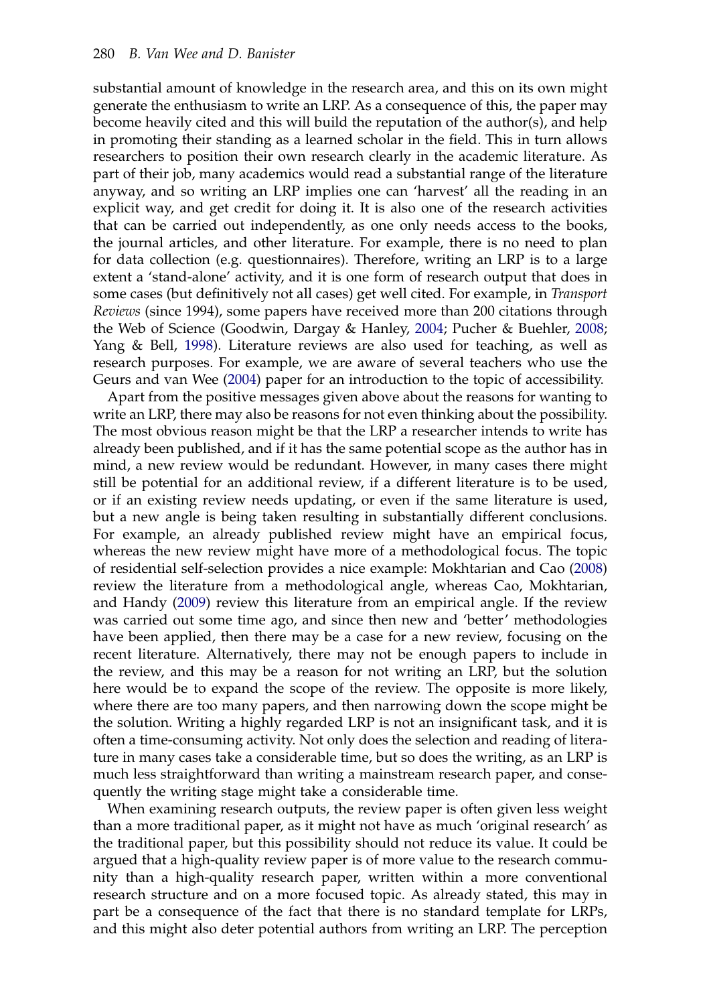substantial amount of knowledge in the research area, and this on its own might generate the enthusiasm to write an LRP. As a consequence of this, the paper may become heavily cited and this will build the reputation of the author(s), and help in promoting their standing as a learned scholar in the field. This in turn allows researchers to position their own research clearly in the academic literature. As part of their job, many academics would read a substantial range of the literature anyway, and so writing an LRP implies one can 'harvest' all the reading in an explicit way, and get credit for doing it. It is also one of the research activities that can be carried out independently, as one only needs access to the books, the journal articles, and other literature. For example, there is no need to plan for data collection (e.g. questionnaires). Therefore, writing an LRP is to a large extent a 'stand-alone' activity, and it is one form of research output that does in some cases (but definitively not all cases) get well cited. For example, in Transport Reviews (since 1994), some papers have received more than 200 citations through the Web of Science (Goodwin, Dargay & Hanley, [2004;](#page-11-0) Pucher & Buehler, [2008;](#page-11-0) Yang & Bell, [1998](#page-11-0)). Literature reviews are also used for teaching, as well as research purposes. For example, we are aware of several teachers who use the Geurs and van Wee [\(2004](#page-11-0)) paper for an introduction to the topic of accessibility.

Apart from the positive messages given above about the reasons for wanting to write an LRP, there may also be reasons for not even thinking about the possibility. The most obvious reason might be that the LRP a researcher intends to write has already been published, and if it has the same potential scope as the author has in mind, a new review would be redundant. However, in many cases there might still be potential for an additional review, if a different literature is to be used, or if an existing review needs updating, or even if the same literature is used, but a new angle is being taken resulting in substantially different conclusions. For example, an already published review might have an empirical focus, whereas the new review might have more of a methodological focus. The topic of residential self-selection provides a nice example: Mokhtarian and Cao ([2008\)](#page-11-0) review the literature from a methodological angle, whereas Cao, Mokhtarian, and Handy [\(2009](#page-11-0)) review this literature from an empirical angle. If the review was carried out some time ago, and since then new and 'better' methodologies have been applied, then there may be a case for a new review, focusing on the recent literature. Alternatively, there may not be enough papers to include in the review, and this may be a reason for not writing an LRP, but the solution here would be to expand the scope of the review. The opposite is more likely, where there are too many papers, and then narrowing down the scope might be the solution. Writing a highly regarded LRP is not an insignificant task, and it is often a time-consuming activity. Not only does the selection and reading of literature in many cases take a considerable time, but so does the writing, as an LRP is much less straightforward than writing a mainstream research paper, and consequently the writing stage might take a considerable time.

When examining research outputs, the review paper is often given less weight than a more traditional paper, as it might not have as much 'original research' as the traditional paper, but this possibility should not reduce its value. It could be argued that a high-quality review paper is of more value to the research community than a high-quality research paper, written within a more conventional research structure and on a more focused topic. As already stated, this may in part be a consequence of the fact that there is no standard template for LRPs, and this might also deter potential authors from writing an LRP. The perception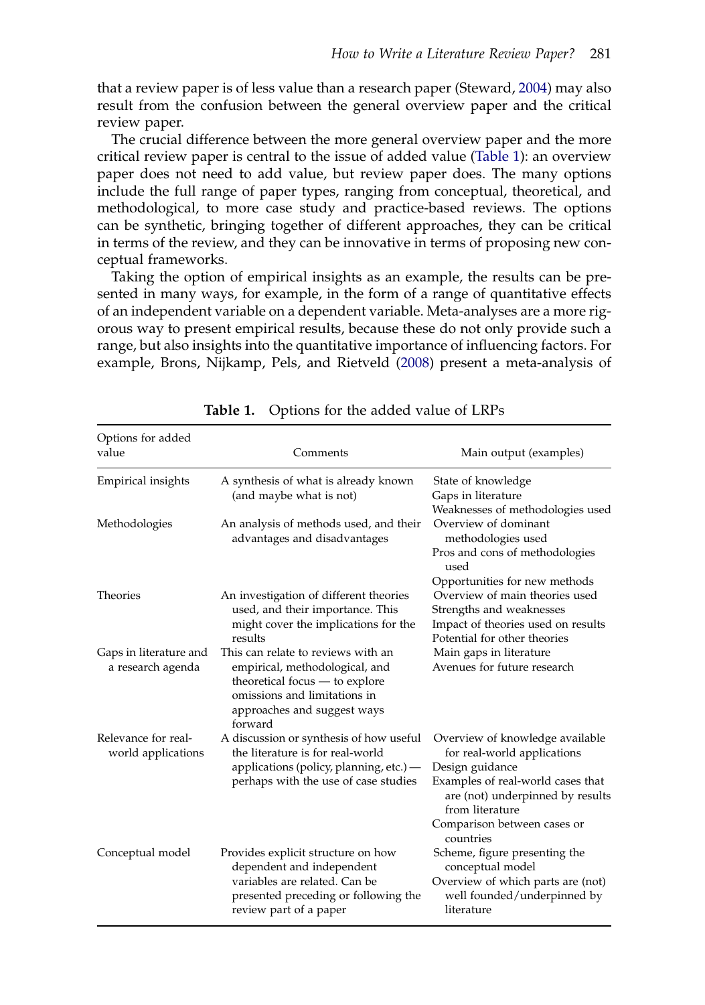<span id="page-4-0"></span>that a review paper is of less value than a research paper (Steward, [2004](#page-11-0)) may also result from the confusion between the general overview paper and the critical review paper.

The crucial difference between the more general overview paper and the more critical review paper is central to the issue of added value (Table 1): an overview paper does not need to add value, but review paper does. The many options include the full range of paper types, ranging from conceptual, theoretical, and methodological, to more case study and practice-based reviews. The options can be synthetic, bringing together of different approaches, they can be critical in terms of the review, and they can be innovative in terms of proposing new conceptual frameworks.

Taking the option of empirical insights as an example, the results can be presented in many ways, for example, in the form of a range of quantitative effects of an independent variable on a dependent variable. Meta-analyses are a more rigorous way to present empirical results, because these do not only provide such a range, but also insights into the quantitative importance of influencing factors. For example, Brons, Nijkamp, Pels, and Rietveld ([2008\)](#page-10-0) present a meta-analysis of

| Options for added<br>value                  | Comments                                                                                                                                                                         | Main output (examples)                                                                                                                                                                                                    |
|---------------------------------------------|----------------------------------------------------------------------------------------------------------------------------------------------------------------------------------|---------------------------------------------------------------------------------------------------------------------------------------------------------------------------------------------------------------------------|
| Empirical insights                          | A synthesis of what is already known<br>(and maybe what is not)                                                                                                                  | State of knowledge<br>Gaps in literature<br>Weaknesses of methodologies used                                                                                                                                              |
| Methodologies                               | An analysis of methods used, and their<br>advantages and disadvantages                                                                                                           | Overview of dominant<br>methodologies used<br>Pros and cons of methodologies<br>used<br>Opportunities for new methods                                                                                                     |
| Theories                                    | An investigation of different theories<br>used, and their importance. This<br>might cover the implications for the<br>results                                                    | Overview of main theories used<br>Strengths and weaknesses<br>Impact of theories used on results<br>Potential for other theories                                                                                          |
| Gaps in literature and<br>a research agenda | This can relate to reviews with an<br>empirical, methodological, and<br>theoretical focus - to explore<br>omissions and limitations in<br>approaches and suggest ways<br>forward | Main gaps in literature<br>Avenues for future research                                                                                                                                                                    |
| Relevance for real-<br>world applications   | A discussion or synthesis of how useful<br>the literature is for real-world<br>applications (policy, planning, etc.) -<br>perhaps with the use of case studies                   | Overview of knowledge available<br>for real-world applications<br>Design guidance<br>Examples of real-world cases that<br>are (not) underpinned by results<br>from literature<br>Comparison between cases or<br>countries |
| Conceptual model                            | Provides explicit structure on how<br>dependent and independent<br>variables are related. Can be<br>presented preceding or following the<br>review part of a paper               | Scheme, figure presenting the<br>conceptual model<br>Overview of which parts are (not)<br>well founded/underpinned by<br>literature                                                                                       |

Table 1. Options for the added value of LRPs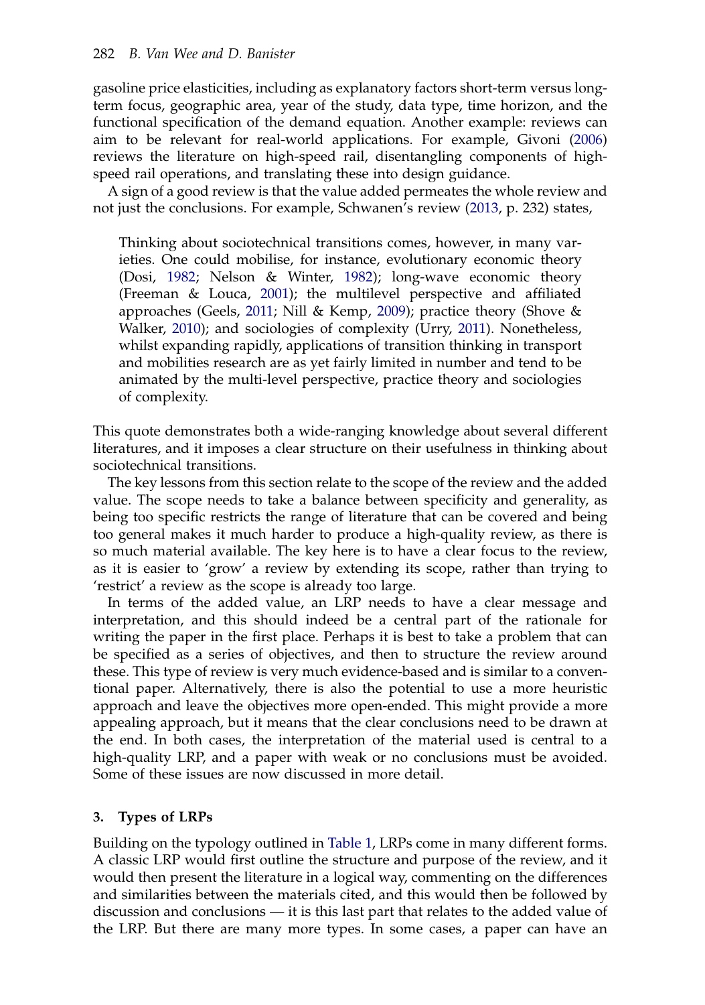gasoline price elasticities, including as explanatory factors short-term versus longterm focus, geographic area, year of the study, data type, time horizon, and the functional specification of the demand equation. Another example: reviews can aim to be relevant for real-world applications. For example, Givoni ([2006\)](#page-11-0) reviews the literature on high-speed rail, disentangling components of highspeed rail operations, and translating these into design guidance.

A sign of a good review is that the value added permeates the whole review and not just the conclusions. For example, Schwanen's review ([2013,](#page-11-0) p. 232) states,

Thinking about sociotechnical transitions comes, however, in many varieties. One could mobilise, for instance, evolutionary economic theory (Dosi, [1982;](#page-11-0) Nelson & Winter, [1982](#page-11-0)); long-wave economic theory (Freeman & Louca, [2001](#page-11-0)); the multilevel perspective and affiliated approaches (Geels, [2011;](#page-11-0) Nill & Kemp, [2009](#page-11-0)); practice theory (Shove & Walker, [2010\)](#page-11-0); and sociologies of complexity (Urry, [2011](#page-11-0)). Nonetheless, whilst expanding rapidly, applications of transition thinking in transport and mobilities research are as yet fairly limited in number and tend to be animated by the multi-level perspective, practice theory and sociologies of complexity.

This quote demonstrates both a wide-ranging knowledge about several different literatures, and it imposes a clear structure on their usefulness in thinking about sociotechnical transitions.

The key lessons from this section relate to the scope of the review and the added value. The scope needs to take a balance between specificity and generality, as being too specific restricts the range of literature that can be covered and being too general makes it much harder to produce a high-quality review, as there is so much material available. The key here is to have a clear focus to the review, as it is easier to 'grow' a review by extending its scope, rather than trying to 'restrict' a review as the scope is already too large.

In terms of the added value, an LRP needs to have a clear message and interpretation, and this should indeed be a central part of the rationale for writing the paper in the first place. Perhaps it is best to take a problem that can be specified as a series of objectives, and then to structure the review around these. This type of review is very much evidence-based and is similar to a conventional paper. Alternatively, there is also the potential to use a more heuristic approach and leave the objectives more open-ended. This might provide a more appealing approach, but it means that the clear conclusions need to be drawn at the end. In both cases, the interpretation of the material used is central to a high-quality LRP, and a paper with weak or no conclusions must be avoided. Some of these issues are now discussed in more detail.

## 3. Types of LRPs

Building on the typology outlined in [Table 1,](#page-4-0) LRPs come in many different forms. A classic LRP would first outline the structure and purpose of the review, and it would then present the literature in a logical way, commenting on the differences and similarities between the materials cited, and this would then be followed by discussion and conclusions — it is this last part that relates to the added value of the LRP. But there are many more types. In some cases, a paper can have an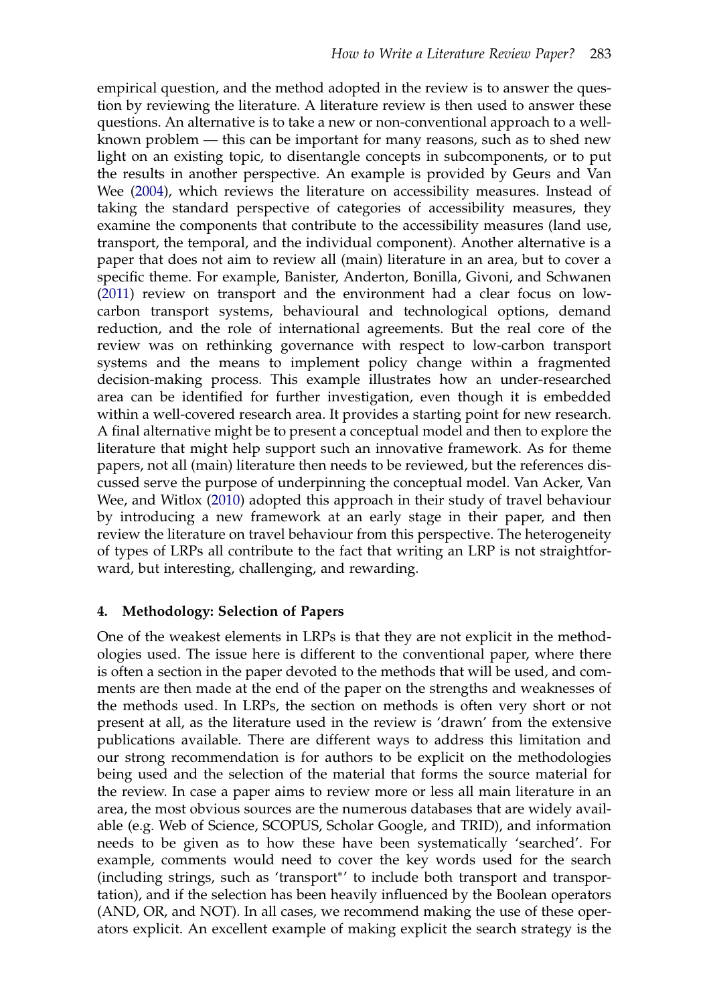empirical question, and the method adopted in the review is to answer the question by reviewing the literature. A literature review is then used to answer these questions. An alternative is to take a new or non-conventional approach to a wellknown problem — this can be important for many reasons, such as to shed new light on an existing topic, to disentangle concepts in subcomponents, or to put the results in another perspective. An example is provided by Geurs and Van Wee ([2004\)](#page-11-0), which reviews the literature on accessibility measures. Instead of taking the standard perspective of categories of accessibility measures, they examine the components that contribute to the accessibility measures (land use, transport, the temporal, and the individual component). Another alternative is a paper that does not aim to review all (main) literature in an area, but to cover a specific theme. For example, Banister, Anderton, Bonilla, Givoni, and Schwanen [\(2011\)](#page-10-0) review on transport and the environment had a clear focus on lowcarbon transport systems, behavioural and technological options, demand reduction, and the role of international agreements. But the real core of the review was on rethinking governance with respect to low-carbon transport systems and the means to implement policy change within a fragmented decision-making process. This example illustrates how an under-researched area can be identified for further investigation, even though it is embedded within a well-covered research area. It provides a starting point for new research. A final alternative might be to present a conceptual model and then to explore the literature that might help support such an innovative framework. As for theme papers, not all (main) literature then needs to be reviewed, but the references discussed serve the purpose of underpinning the conceptual model. Van Acker, Van Wee, and Witlox [\(2010](#page-11-0)) adopted this approach in their study of travel behaviour by introducing a new framework at an early stage in their paper, and then review the literature on travel behaviour from this perspective. The heterogeneity of types of LRPs all contribute to the fact that writing an LRP is not straightforward, but interesting, challenging, and rewarding.

### 4. Methodology: Selection of Papers

One of the weakest elements in LRPs is that they are not explicit in the methodologies used. The issue here is different to the conventional paper, where there is often a section in the paper devoted to the methods that will be used, and comments are then made at the end of the paper on the strengths and weaknesses of the methods used. In LRPs, the section on methods is often very short or not present at all, as the literature used in the review is 'drawn' from the extensive publications available. There are different ways to address this limitation and our strong recommendation is for authors to be explicit on the methodologies being used and the selection of the material that forms the source material for the review. In case a paper aims to review more or less all main literature in an area, the most obvious sources are the numerous databases that are widely available (e.g. Web of Science, SCOPUS, Scholar Google, and TRID), and information needs to be given as to how these have been systematically 'searched'. For example, comments would need to cover the key words used for the search (including strings, such as 'transport∗' to include both transport and transportation), and if the selection has been heavily influenced by the Boolean operators (AND, OR, and NOT). In all cases, we recommend making the use of these operators explicit. An excellent example of making explicit the search strategy is the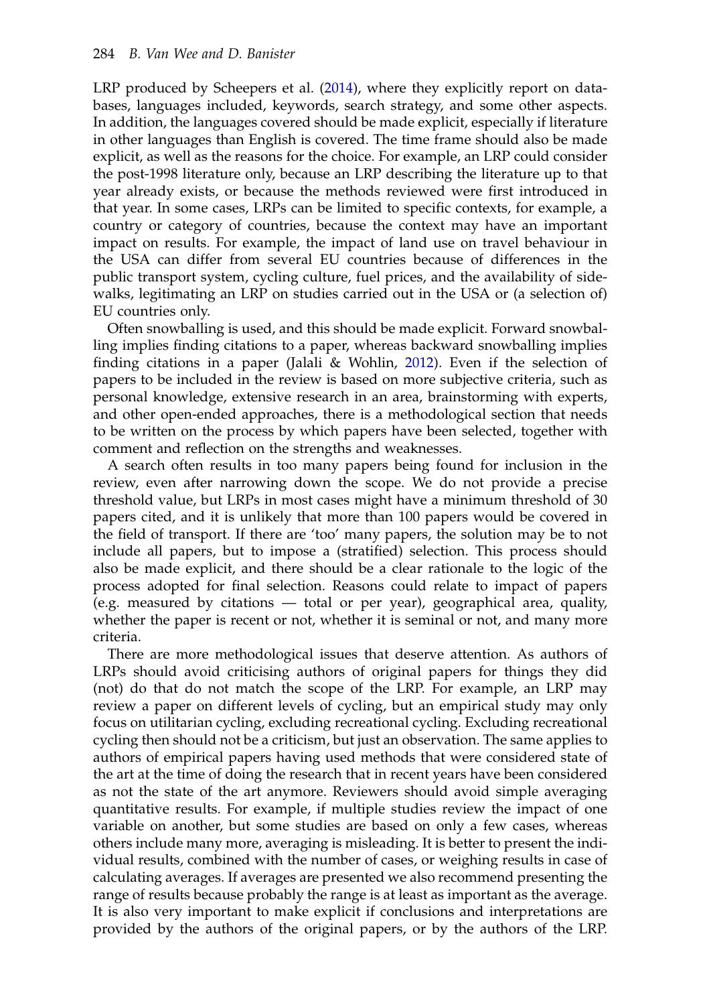LRP produced by Scheepers et al. [\(2014](#page-11-0)), where they explicitly report on databases, languages included, keywords, search strategy, and some other aspects. In addition, the languages covered should be made explicit, especially if literature in other languages than English is covered. The time frame should also be made explicit, as well as the reasons for the choice. For example, an LRP could consider the post-1998 literature only, because an LRP describing the literature up to that year already exists, or because the methods reviewed were first introduced in that year. In some cases, LRPs can be limited to specific contexts, for example, a country or category of countries, because the context may have an important impact on results. For example, the impact of land use on travel behaviour in the USA can differ from several EU countries because of differences in the public transport system, cycling culture, fuel prices, and the availability of sidewalks, legitimating an LRP on studies carried out in the USA or (a selection of) EU countries only.

Often snowballing is used, and this should be made explicit. Forward snowballing implies finding citations to a paper, whereas backward snowballing implies finding citations in a paper (Jalali & Wohlin, [2012\)](#page-11-0). Even if the selection of papers to be included in the review is based on more subjective criteria, such as personal knowledge, extensive research in an area, brainstorming with experts, and other open-ended approaches, there is a methodological section that needs to be written on the process by which papers have been selected, together with comment and reflection on the strengths and weaknesses.

A search often results in too many papers being found for inclusion in the review, even after narrowing down the scope. We do not provide a precise threshold value, but LRPs in most cases might have a minimum threshold of 30 papers cited, and it is unlikely that more than 100 papers would be covered in the field of transport. If there are 'too' many papers, the solution may be to not include all papers, but to impose a (stratified) selection. This process should also be made explicit, and there should be a clear rationale to the logic of the process adopted for final selection. Reasons could relate to impact of papers (e.g. measured by citations — total or per year), geographical area, quality, whether the paper is recent or not, whether it is seminal or not, and many more criteria.

There are more methodological issues that deserve attention. As authors of LRPs should avoid criticising authors of original papers for things they did (not) do that do not match the scope of the LRP. For example, an LRP may review a paper on different levels of cycling, but an empirical study may only focus on utilitarian cycling, excluding recreational cycling. Excluding recreational cycling then should not be a criticism, but just an observation. The same applies to authors of empirical papers having used methods that were considered state of the art at the time of doing the research that in recent years have been considered as not the state of the art anymore. Reviewers should avoid simple averaging quantitative results. For example, if multiple studies review the impact of one variable on another, but some studies are based on only a few cases, whereas others include many more, averaging is misleading. It is better to present the individual results, combined with the number of cases, or weighing results in case of calculating averages. If averages are presented we also recommend presenting the range of results because probably the range is at least as important as the average. It is also very important to make explicit if conclusions and interpretations are provided by the authors of the original papers, or by the authors of the LRP.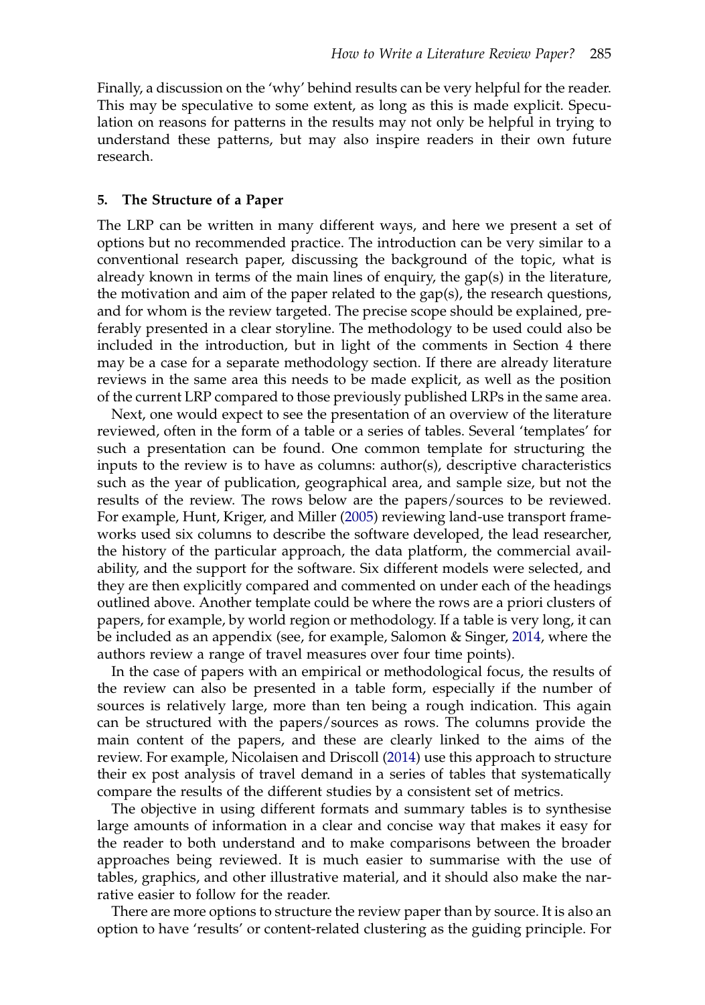Finally, a discussion on the 'why' behind results can be very helpful for the reader. This may be speculative to some extent, as long as this is made explicit. Speculation on reasons for patterns in the results may not only be helpful in trying to understand these patterns, but may also inspire readers in their own future research.

#### 5. The Structure of a Paper

The LRP can be written in many different ways, and here we present a set of options but no recommended practice. The introduction can be very similar to a conventional research paper, discussing the background of the topic, what is already known in terms of the main lines of enquiry, the gap(s) in the literature, the motivation and aim of the paper related to the gap(s), the research questions, and for whom is the review targeted. The precise scope should be explained, preferably presented in a clear storyline. The methodology to be used could also be included in the introduction, but in light of the comments in Section 4 there may be a case for a separate methodology section. If there are already literature reviews in the same area this needs to be made explicit, as well as the position of the current LRP compared to those previously published LRPs in the same area.

Next, one would expect to see the presentation of an overview of the literature reviewed, often in the form of a table or a series of tables. Several 'templates' for such a presentation can be found. One common template for structuring the inputs to the review is to have as columns: author(s), descriptive characteristics such as the year of publication, geographical area, and sample size, but not the results of the review. The rows below are the papers/sources to be reviewed. For example, Hunt, Kriger, and Miller [\(2005](#page-11-0)) reviewing land-use transport frameworks used six columns to describe the software developed, the lead researcher, the history of the particular approach, the data platform, the commercial availability, and the support for the software. Six different models were selected, and they are then explicitly compared and commented on under each of the headings outlined above. Another template could be where the rows are a priori clusters of papers, for example, by world region or methodology. If a table is very long, it can be included as an appendix (see, for example, Salomon & Singer, [2014,](#page-11-0) where the authors review a range of travel measures over four time points).

In the case of papers with an empirical or methodological focus, the results of the review can also be presented in a table form, especially if the number of sources is relatively large, more than ten being a rough indication. This again can be structured with the papers/sources as rows. The columns provide the main content of the papers, and these are clearly linked to the aims of the review. For example, Nicolaisen and Driscoll [\(2014](#page-11-0)) use this approach to structure their ex post analysis of travel demand in a series of tables that systematically compare the results of the different studies by a consistent set of metrics.

The objective in using different formats and summary tables is to synthesise large amounts of information in a clear and concise way that makes it easy for the reader to both understand and to make comparisons between the broader approaches being reviewed. It is much easier to summarise with the use of tables, graphics, and other illustrative material, and it should also make the narrative easier to follow for the reader.

There are more options to structure the review paper than by source. It is also an option to have 'results' or content-related clustering as the guiding principle. For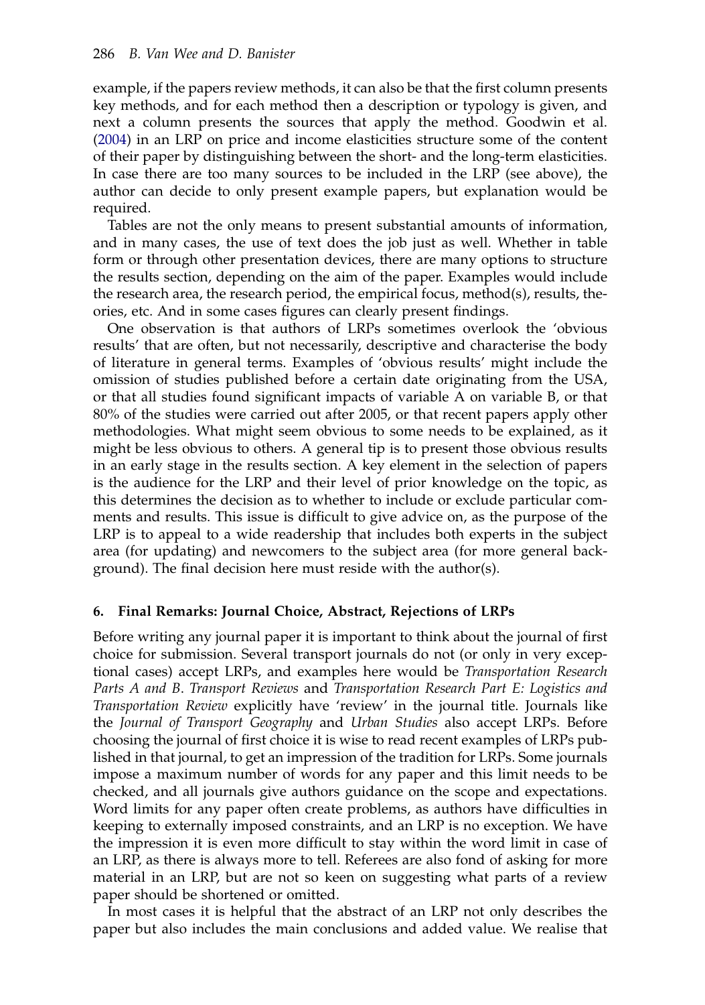example, if the papers review methods, it can also be that the first column presents key methods, and for each method then a description or typology is given, and next a column presents the sources that apply the method. Goodwin et al. ([2004\)](#page-11-0) in an LRP on price and income elasticities structure some of the content of their paper by distinguishing between the short- and the long-term elasticities. In case there are too many sources to be included in the LRP (see above), the author can decide to only present example papers, but explanation would be required.

Tables are not the only means to present substantial amounts of information, and in many cases, the use of text does the job just as well. Whether in table form or through other presentation devices, there are many options to structure the results section, depending on the aim of the paper. Examples would include the research area, the research period, the empirical focus, method(s), results, theories, etc. And in some cases figures can clearly present findings.

One observation is that authors of LRPs sometimes overlook the 'obvious results' that are often, but not necessarily, descriptive and characterise the body of literature in general terms. Examples of 'obvious results' might include the omission of studies published before a certain date originating from the USA, or that all studies found significant impacts of variable A on variable B, or that 80% of the studies were carried out after 2005, or that recent papers apply other methodologies. What might seem obvious to some needs to be explained, as it might be less obvious to others. A general tip is to present those obvious results in an early stage in the results section. A key element in the selection of papers is the audience for the LRP and their level of prior knowledge on the topic, as this determines the decision as to whether to include or exclude particular comments and results. This issue is difficult to give advice on, as the purpose of the LRP is to appeal to a wide readership that includes both experts in the subject area (for updating) and newcomers to the subject area (for more general background). The final decision here must reside with the author(s).

### 6. Final Remarks: Journal Choice, Abstract, Rejections of LRPs

Before writing any journal paper it is important to think about the journal of first choice for submission. Several transport journals do not (or only in very exceptional cases) accept LRPs, and examples here would be Transportation Research Parts A and B. Transport Reviews and Transportation Research Part E: Logistics and Transportation Review explicitly have 'review' in the journal title. Journals like the Journal of Transport Geography and Urban Studies also accept LRPs. Before choosing the journal of first choice it is wise to read recent examples of LRPs published in that journal, to get an impression of the tradition for LRPs. Some journals impose a maximum number of words for any paper and this limit needs to be checked, and all journals give authors guidance on the scope and expectations. Word limits for any paper often create problems, as authors have difficulties in keeping to externally imposed constraints, and an LRP is no exception. We have the impression it is even more difficult to stay within the word limit in case of an LRP, as there is always more to tell. Referees are also fond of asking for more material in an LRP, but are not so keen on suggesting what parts of a review paper should be shortened or omitted.

In most cases it is helpful that the abstract of an LRP not only describes the paper but also includes the main conclusions and added value. We realise that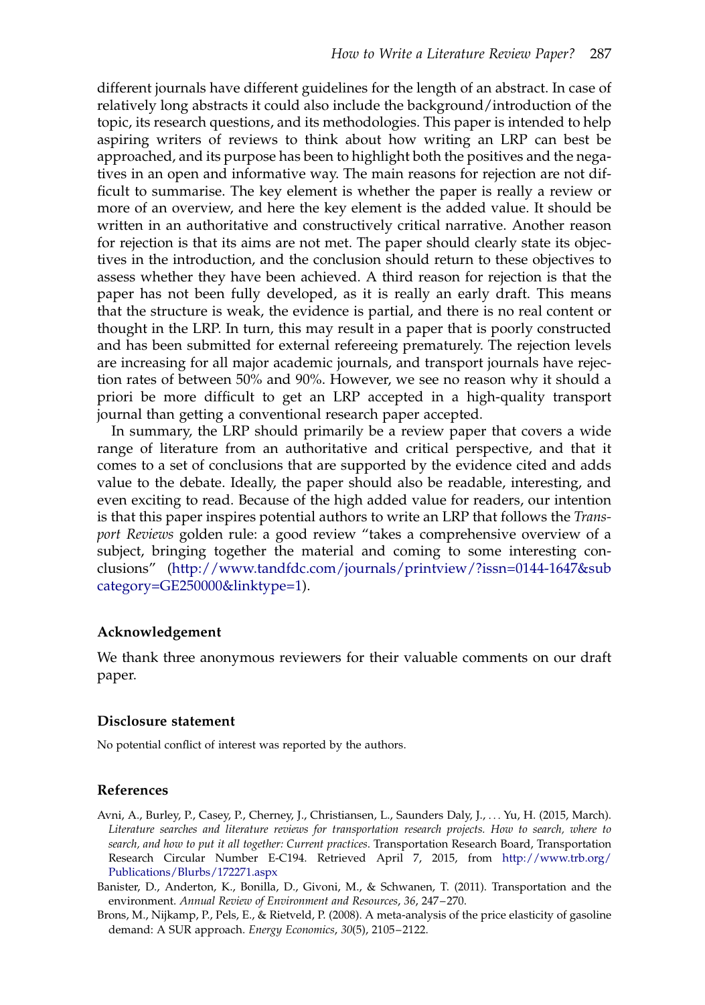<span id="page-10-0"></span>different journals have different guidelines for the length of an abstract. In case of relatively long abstracts it could also include the background/introduction of the topic, its research questions, and its methodologies. This paper is intended to help aspiring writers of reviews to think about how writing an LRP can best be approached, and its purpose has been to highlight both the positives and the negatives in an open and informative way. The main reasons for rejection are not difficult to summarise. The key element is whether the paper is really a review or more of an overview, and here the key element is the added value. It should be written in an authoritative and constructively critical narrative. Another reason for rejection is that its aims are not met. The paper should clearly state its objectives in the introduction, and the conclusion should return to these objectives to assess whether they have been achieved. A third reason for rejection is that the paper has not been fully developed, as it is really an early draft. This means that the structure is weak, the evidence is partial, and there is no real content or thought in the LRP. In turn, this may result in a paper that is poorly constructed and has been submitted for external refereeing prematurely. The rejection levels are increasing for all major academic journals, and transport journals have rejection rates of between 50% and 90%. However, we see no reason why it should a priori be more difficult to get an LRP accepted in a high-quality transport journal than getting a conventional research paper accepted.

In summary, the LRP should primarily be a review paper that covers a wide range of literature from an authoritative and critical perspective, and that it comes to a set of conclusions that are supported by the evidence cited and adds value to the debate. Ideally, the paper should also be readable, interesting, and even exciting to read. Because of the high added value for readers, our intention is that this paper inspires potential authors to write an LRP that follows the Transport Reviews golden rule: a good review "takes a comprehensive overview of a subject, bringing together the material and coming to some interesting conclusions" [\(http://www.tandfdc.com/journals/printview/?issn=0144-1647&sub](http://www.tandfdc.com/journals/printview/?issn=0144-1647&subcategory=GE250000&linktype=1) [category=GE250000&linktype=1](http://www.tandfdc.com/journals/printview/?issn=0144-1647&subcategory=GE250000&linktype=1)).

#### Acknowledgement

We thank three anonymous reviewers for their valuable comments on our draft paper.

#### Disclosure statement

No potential conflict of interest was reported by the authors.

#### References

- Avni, A., Burley, P., Casey, P., Cherney, J., Christiansen, L., Saunders Daly, J., ... Yu, H. (2015, March). Literature searches and literature reviews for transportation research projects. How to search, where to search, and how to put it all together: Current practices. Transportation Research Board, Transportation Research Circular Number E-C194. Retrieved April 7, 2015, from [http://www.trb.org/](http://www.trb.org/Publications/Blurbs/172271.aspx) [Publications/Blurbs/172271.aspx](http://www.trb.org/Publications/Blurbs/172271.aspx)
- Banister, D., Anderton, K., Bonilla, D., Givoni, M., & Schwanen, T. (2011). Transportation and the environment. Annual Review of Environment and Resources, 36, 247–270.
- Brons, M., Nijkamp, P., Pels, E., & Rietveld, P. (2008). A meta-analysis of the price elasticity of gasoline demand: A SUR approach. Energy Economics, 30(5), 2105–2122.